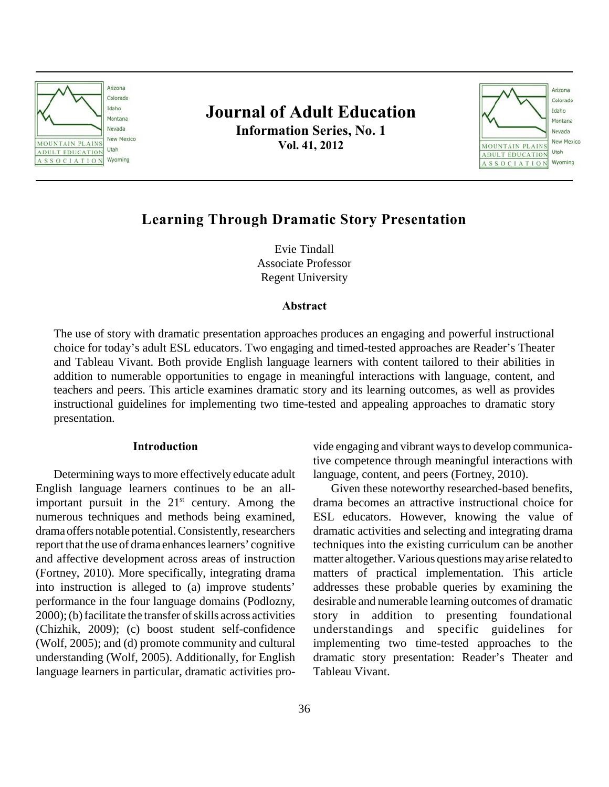

# **Journal of Adult Education Information Series, No. 1 Vol. 41, 2012**



# **Learning Through Dramatic Story Presentation**

Evie Tindall Associate Professor Regent University

# **Abstract**

The use of story with dramatic presentation approaches produces an engaging and powerful instructional choice for today's adult ESL educators. Two engaging and timed-tested approaches are Reader's Theater and Tableau Vivant. Both provide English language learners with content tailored to their abilities in addition to numerable opportunities to engage in meaningful interactions with language, content, and teachers and peers. This article examines dramatic story and its learning outcomes, as well as provides instructional guidelines for implementing two time-tested and appealing approaches to dramatic story presentation.

### **Introduction**

Determining ways to more effectively educate adult English language learners continues to be an allimportant pursuit in the  $21<sup>st</sup>$  century. Among the numerous techniques and methods being examined, drama offers notable potential. Consistently, researchers report that the use of drama enhances learners' cognitive and affective development across areas of instruction (Fortney, 2010). More specifically, integrating drama into instruction is alleged to (a) improve students' performance in the four language domains (Podlozny, 2000); (b) facilitate the transfer of skills across activities (Chizhik, 2009); (c) boost student self-confidence (Wolf, 2005); and (d) promote community and cultural understanding (Wolf, 2005). Additionally, for English language learners in particular, dramatic activities provide engaging and vibrant ways to develop communicative competence through meaningful interactions with language, content, and peers (Fortney, 2010).

Given these noteworthy researched-based benefits, drama becomes an attractive instructional choice for ESL educators. However, knowing the value of dramatic activities and selecting and integrating drama techniques into the existing curriculum can be another matter altogether. Various questions may arise related to matters of practical implementation. This article addresses these probable queries by examining the desirable and numerable learning outcomes of dramatic story in addition to presenting foundational understandings and specific guidelines for implementing two time-tested approaches to the dramatic story presentation: Reader's Theater and Tableau Vivant.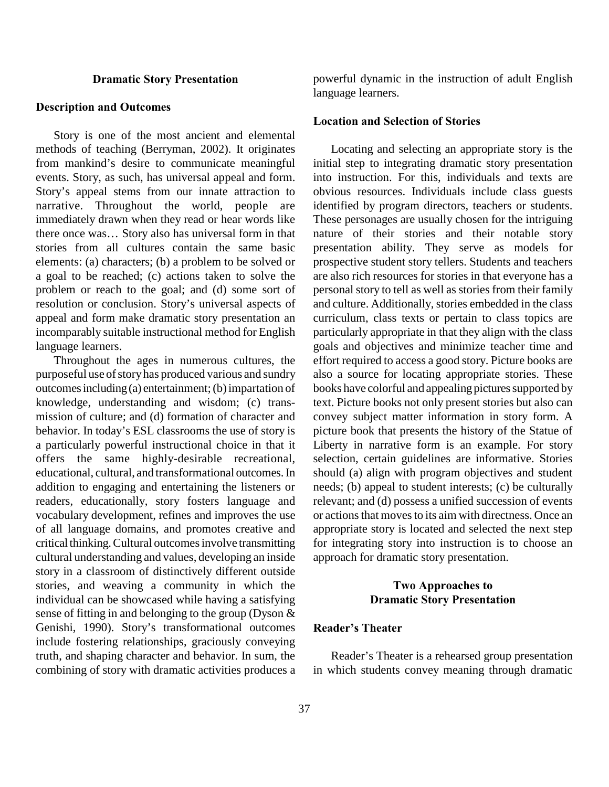#### **Dramatic Story Presentation**

#### **Description and Outcomes**

Story is one of the most ancient and elemental methods of teaching (Berryman, 2002). It originates from mankind's desire to communicate meaningful events. Story, as such, has universal appeal and form. Story's appeal stems from our innate attraction to narrative. Throughout the world, people are immediately drawn when they read or hear words like there once was… Story also has universal form in that stories from all cultures contain the same basic elements: (a) characters; (b) a problem to be solved or a goal to be reached; (c) actions taken to solve the problem or reach to the goal; and (d) some sort of resolution or conclusion. Story's universal aspects of appeal and form make dramatic story presentation an incomparably suitable instructional method for English language learners.

Throughout the ages in numerous cultures, the purposeful use of story has produced various and sundry outcomes including (a) entertainment; (b) impartation of knowledge, understanding and wisdom; (c) transmission of culture; and (d) formation of character and behavior. In today's ESL classrooms the use of story is a particularly powerful instructional choice in that it offers the same highly-desirable recreational, educational, cultural, and transformational outcomes. In addition to engaging and entertaining the listeners or readers, educationally, story fosters language and vocabulary development, refines and improves the use of all language domains, and promotes creative and critical thinking. Cultural outcomes involve transmitting cultural understanding and values, developing an inside story in a classroom of distinctively different outside stories, and weaving a community in which the individual can be showcased while having a satisfying sense of fitting in and belonging to the group (Dyson & Genishi, 1990). Story's transformational outcomes include fostering relationships, graciously conveying truth, and shaping character and behavior. In sum, the combining of story with dramatic activities produces a

powerful dynamic in the instruction of adult English language learners.

# **Location and Selection of Stories**

Locating and selecting an appropriate story is the initial step to integrating dramatic story presentation into instruction. For this, individuals and texts are obvious resources. Individuals include class guests identified by program directors, teachers or students. These personages are usually chosen for the intriguing nature of their stories and their notable story presentation ability. They serve as models for prospective student story tellers. Students and teachers are also rich resources for stories in that everyone has a personal story to tell as well as stories from their family and culture. Additionally, stories embedded in the class curriculum, class texts or pertain to class topics are particularly appropriate in that they align with the class goals and objectives and minimize teacher time and effort required to access a good story. Picture books are also a source for locating appropriate stories. These books have colorful and appealing pictures supported by text. Picture books not only present stories but also can convey subject matter information in story form. A picture book that presents the history of the Statue of Liberty in narrative form is an example. For story selection, certain guidelines are informative. Stories should (a) align with program objectives and student needs; (b) appeal to student interests; (c) be culturally relevant; and (d) possess a unified succession of events or actions that moves to its aim with directness. Once an appropriate story is located and selected the next step for integrating story into instruction is to choose an approach for dramatic story presentation.

# **Two Approaches to Dramatic Story Presentation**

# **Reader's Theater**

Reader's Theater is a rehearsed group presentation in which students convey meaning through dramatic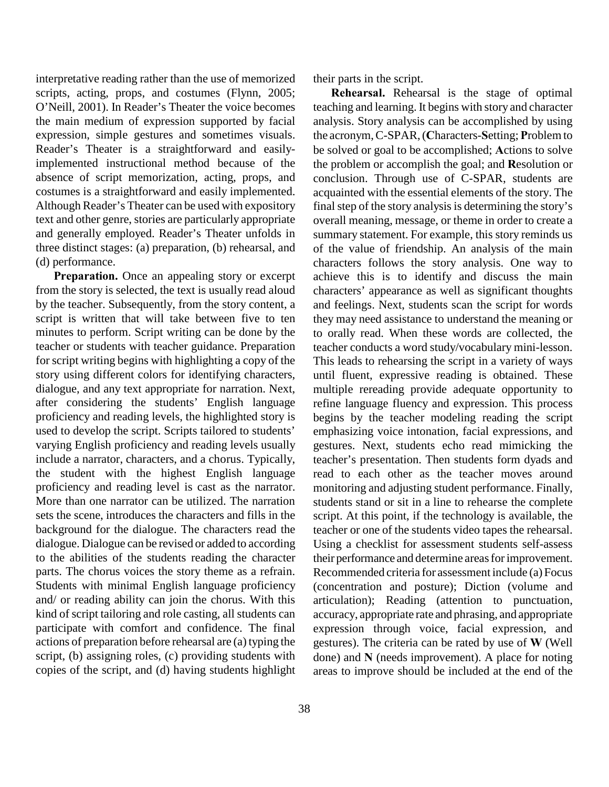interpretative reading rather than the use of memorized scripts, acting, props, and costumes (Flynn, 2005; O'Neill, 2001). In Reader's Theater the voice becomes the main medium of expression supported by facial expression, simple gestures and sometimes visuals. Reader's Theater is a straightforward and easilyimplemented instructional method because of the absence of script memorization, acting, props, and costumes is a straightforward and easily implemented. Although Reader's Theater can be used with expository text and other genre, stories are particularly appropriate and generally employed. Reader's Theater unfolds in three distinct stages: (a) preparation, (b) rehearsal, and (d) performance.

**Preparation.** Once an appealing story or excerpt from the story is selected, the text is usually read aloud by the teacher. Subsequently, from the story content, a script is written that will take between five to ten minutes to perform. Script writing can be done by the teacher or students with teacher guidance. Preparation for script writing begins with highlighting a copy of the story using different colors for identifying characters, dialogue, and any text appropriate for narration. Next, after considering the students' English language proficiency and reading levels, the highlighted story is used to develop the script. Scripts tailored to students' varying English proficiency and reading levels usually include a narrator, characters, and a chorus. Typically, the student with the highest English language proficiency and reading level is cast as the narrator. More than one narrator can be utilized. The narration sets the scene, introduces the characters and fills in the background for the dialogue. The characters read the dialogue. Dialogue can be revised or added to according to the abilities of the students reading the character parts. The chorus voices the story theme as a refrain. Students with minimal English language proficiency and/ or reading ability can join the chorus. With this kind of script tailoring and role casting, all students can participate with comfort and confidence. The final actions of preparation before rehearsal are (a) typing the script, (b) assigning roles, (c) providing students with copies of the script, and (d) having students highlight

38

their parts in the script.

**Rehearsal.** Rehearsal is the stage of optimal teaching and learning. It begins with story and character analysis. Story analysis can be accomplished by using the acronym, C-SPAR, (**C**haracters-**S**etting; **P**roblem to be solved or goal to be accomplished; **A**ctions to solve the problem or accomplish the goal; and **R**esolution or conclusion. Through use of C-SPAR, students are acquainted with the essential elements of the story. The final step of the story analysis is determining the story's overall meaning, message, or theme in order to create a summary statement. For example, this story reminds us of the value of friendship. An analysis of the main characters follows the story analysis. One way to achieve this is to identify and discuss the main characters' appearance as well as significant thoughts and feelings. Next, students scan the script for words they may need assistance to understand the meaning or to orally read. When these words are collected, the teacher conducts a word study/vocabulary mini-lesson. This leads to rehearsing the script in a variety of ways until fluent, expressive reading is obtained. These multiple rereading provide adequate opportunity to refine language fluency and expression. This process begins by the teacher modeling reading the script emphasizing voice intonation, facial expressions, and gestures. Next, students echo read mimicking the teacher's presentation. Then students form dyads and read to each other as the teacher moves around monitoring and adjusting student performance. Finally, students stand or sit in a line to rehearse the complete script. At this point, if the technology is available, the teacher or one of the students video tapes the rehearsal. Using a checklist for assessment students self-assess their performance and determine areas for improvement. Recommended criteria for assessment include (a) Focus (concentration and posture); Diction (volume and articulation); Reading (attention to punctuation, accuracy, appropriate rate and phrasing, and appropriate expression through voice, facial expression, and gestures). The criteria can be rated by use of **W** (Well done) and **N** (needs improvement). A place for noting areas to improve should be included at the end of the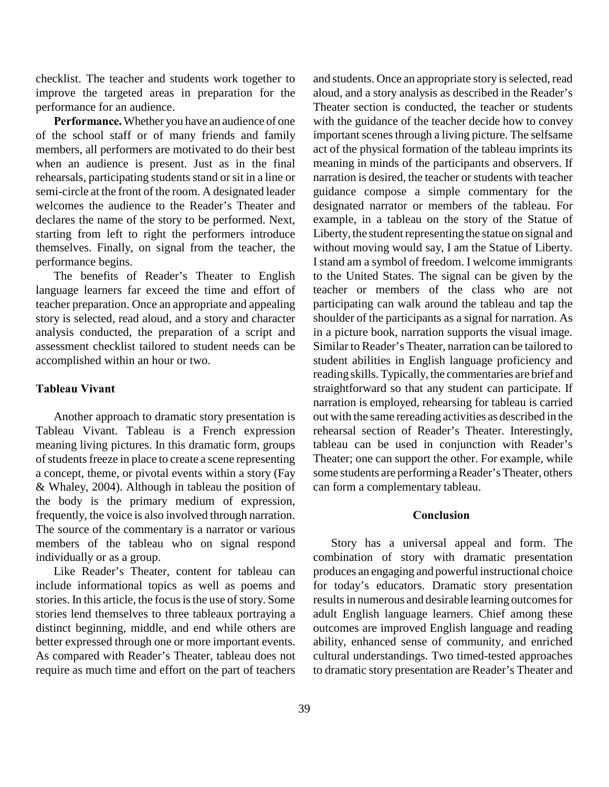checklist. The teacher and students work together to improve the targeted areas in preparation for the performance for an audience.

**Performance.** Whether you have an audience of one of the school staff or of many friends and family members, all performers are motivated to do their best when an audience is present. Just as in the final rehearsals, participating students stand or sit in a line or semi-circle at the front of the room. A designated leader welcomes the audience to the Reader's Theater and declares the name of the story to be performed. Next, starting from left to right the performers introduce themselves. Finally, on signal from the teacher, the performance begins.

The benefits of Reader's Theater to English language learners far exceed the time and effort of teacher preparation. Once an appropriate and appealing story is selected, read aloud, and a story and character analysis conducted, the preparation of a script and assessment checklist tailored to student needs can be accomplished within an hour or two.

# **Tableau Vivant**

Another approach to dramatic story presentation is Tableau Vivant. Tableau is a French expression meaning living pictures. In this dramatic form, groups of students freeze in place to create a scene representing a concept, theme, or pivotal events within a story (Fay & Whaley, 2004). Although in tableau the position of the body is the primary medium of expression, frequently, the voice is also involved through narration. The source of the commentary is a narrator or various members of the tableau who on signal respond individually or as a group.

Like Reader's Theater, content for tableau can include informational topics as well as poems and stories. In this article, the focus is the use of story. Some stories lend themselves to three tableaux portraying a distinct beginning, middle, and end while others are better expressed through one or more important events. As compared with Reader's Theater, tableau does not require as much time and effort on the part of teachers

and students. Once an appropriate story is selected, read aloud, and a story analysis as described in the Reader's Theater section is conducted, the teacher or students with the guidance of the teacher decide how to convey important scenes through a living picture. The selfsame act of the physical formation of the tableau imprints its meaning in minds of the participants and observers. If narration is desired, the teacher or students with teacher guidance compose a simple commentary for the designated narrator or members of the tableau. For example, in a tableau on the story of the Statue of Liberty, the student representing the statue on signal and without moving would say, I am the Statue of Liberty. I stand am a symbol of freedom. I welcome immigrants to the United States. The signal can be given by the teacher or members of the class who are not participating can walk around the tableau and tap the shoulder of the participants as a signal for narration. As in a picture book, narration supports the visual image. Similar to Reader's Theater, narration can be tailored to student abilities in English language proficiency and reading skills. Typically, the commentaries are brief and straightforward so that any student can participate. If narration is employed, rehearsing for tableau is carried out with the same rereading activities as described in the rehearsal section of Reader's Theater. Interestingly, tableau can be used in conjunction with Reader's Theater; one can support the other. For example, while some students are performing a Reader's Theater, others can form a complementary tableau.

# **Conclusion**

Story has a universal appeal and form. The combination of story with dramatic presentation produces an engaging and powerful instructional choice for today's educators. Dramatic story presentation results in numerous and desirable learning outcomes for adult English language learners. Chief among these outcomes are improved English language and reading ability, enhanced sense of community, and enriched cultural understandings. Two timed-tested approaches to dramatic story presentation are Reader's Theater and